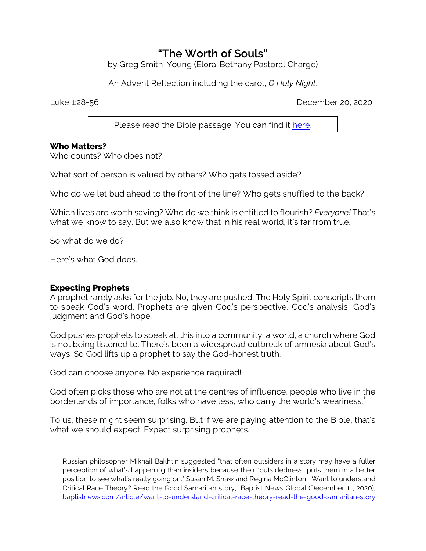# **"The Worth of Souls"**

by Greg Smith-Young (Elora-Bethany Pastoral Charge)

An Advent Reflection including the carol, *O Holy Night.*

Luke 1:28-56 December 20, 2020

Please read the Bible passage. You can find it [here](https://www.biblegateway.com/passage/?search=Luke+1%3A38-56&version=CEB).

### **Who Matters?**

Who counts? Who does not?

What sort of person is valued by others? Who gets tossed aside?

Who do we let bud ahead to the front of the line? Who gets shuffled to the back?

Which lives are worth saving? Who do we think is entitled to flourish? *Everyone!* That's what we know to say. But we also know that in his real world, it's far from true.

So what do we do?

Here's what God does.

#### **Expecting Prophets**

A prophet rarely asks for the job. No, they are pushed. The Holy Spirit conscripts them to speak God's word. Prophets are given God's perspective, God's analysis, God's judgment and God's hope.

God pushes prophets to speak all this into a community, a world, a church where God is not being listened to. There's been a widespread outbreak of amnesia about God's ways. So God lifts up a prophet to say the God-honest truth.

God can choose anyone. No experience required!

God often picks those who are not at the centres of influence, people who live in the borderlands of importance, folks who have less, who carry the world's weariness.<sup>1</sup>

To us, these might seem surprising. But if we are paying attention to the Bible, that's what we should expect. Expect surprising prophets.

<sup>1</sup> Russian philosopher Mikhail Bakhtin suggested "that often outsiders in a story may have a fuller perception of what's happening than insiders because their "outsidedness" puts them in a better position to see what's really going on." Susan M. Shaw and Regina McClinton, "Want to understand Critical Race Theory? Read the Good Samaritan story," Baptist News Global (December 11, 2020), [baptistnews.com/article/want-to-understand-critical-race-theory-read-the-good-samaritan-story](https://baptistnews.com/article/want-to-understand-critical-race-theory-read-the-good-samaritan-story)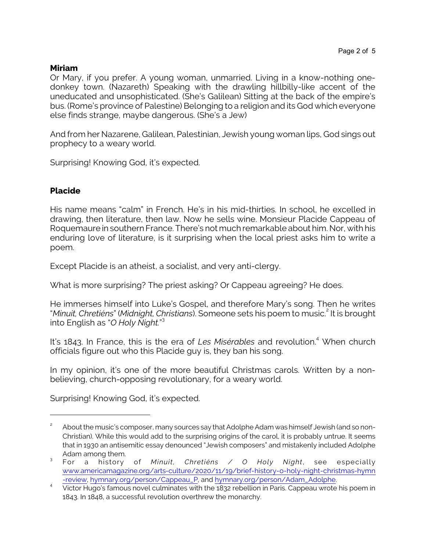### **Miriam**

Or Mary, if you prefer. A young woman, unmarried. Living in a know-nothing onedonkey town. (Nazareth) Speaking with the drawling hillbilly-like accent of the uneducated and unsophisticated. (She's Galilean) Sitting at the back of the empire's bus. (Rome's province of Palestine) Belonging to a religion and its God which everyone else finds strange, maybe dangerous. (She's a Jew)

And from her Nazarene, Galilean, Palestinian, Jewish young woman lips, God sings out prophecy to a weary world.

Surprising! Knowing God, it's expected.

## **Placide**

His name means "calm" in French. He's in his mid-thirties. In school, he excelled in drawing, then literature, then law. Now he sells wine. Monsieur Placide Cappeau of Roquemaure in southern France. There's not much remarkable about him. Nor, with his enduring love of literature, is it surprising when the local priest asks him to write a poem.

Except Placide is an atheist, a socialist, and very anti-clergy.

What is more surprising? The priest asking? Or Cappeau agreeing? He does.

He immerses himself into Luke's Gospel, and therefore Mary's song. Then he writes "Minuit, Chretiéns" (Midnight, Christians). Someone sets his poem to music.<sup>2</sup> It is brought into English as "*O Holy Night.*" 3

It's 1843. In France, this is the era of *Les Misérables* and revolution. <sup>4</sup> When church officials figure out who this Placide guy is, they ban his song.

In my opinion, it's one of the more beautiful Christmas carols. Written by a nonbelieving, church-opposing revolutionary, for a weary world.

Surprising! Knowing God, it's expected.

<sup>2</sup> About the music's composer, many sources say that Adolphe Adam was himself Jewish (and so non-Christian). While this would add to the surprising origins of the carol, it is probably untrue. It seems that in 1930 an antisemitic essay denounced "Jewish composers" and mistakenly included Adolphe Adam among them.

<sup>3</sup> For a history of *Minuit, Chretiéns / O Holy Night*, see especially [www.americamagazine.org/arts-culture/2020/11/19/brief-history-o-holy-night-christmas-hymn](https://www.americamagazine.org/arts-culture/2020/11/19/brief-history-o-holy-night-christmas-hymn-review) [-review](https://www.americamagazine.org/arts-culture/2020/11/19/brief-history-o-holy-night-christmas-hymn-review), [hymnary.org/person/Cappeau\\_P](https://hymnary.org/person/Cappeau_P), and [hymnary.org/person/Adam\\_Adolphe](https://hymnary.org/person/Adam_Adolphe).

<sup>4</sup> Victor Hugo's famous novel culminates with the 1832 rebellion in Paris. Cappeau wrote his poem in 1843. In 1848, a successful revolution overthrew the monarchy.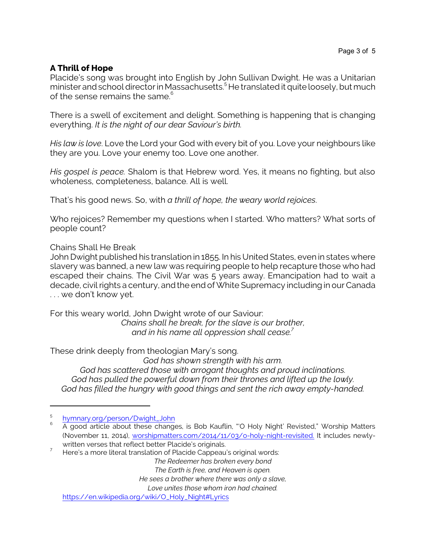## **A Thrill of Hope**

Placide's song was brought into English by John Sullivan Dwight. He was a Unitarian minister and school director in Massachusetts. <sup>5</sup> He translated it quite loosely, butmuch of the sense remains the same. $^{\rm 6}$ 

There is a swell of excitement and delight. Something is happening that is changing everything. *It is the night of our dear Saviour's birth.*

*His law is love*. Love the Lord your God with every bit of you. Love your neighbours like they are you. Love your enemy too. Love one another.

*His gospel is peace.* Shalom is that Hebrew word. Yes, it means no fighting, but also wholeness, completeness, balance. All is well.

That's his good news. So, with *a thrill of hope, the weary world rejoices*.

Who rejoices? Remember my questions when I started. Who matters? What sorts of people count?

Chains Shall He Break

John Dwight published his translation in 1855. In his United States, even in states where slavery was banned, a new law was requiring people to help recapture those who had escaped their chains. The Civil War was 5 years away. Emancipation had to wait a decade, civil rights a century, and the end of White Supremacy including in our Canada . . . we don't know yet.

For this weary world, John Dwight wrote of our Saviour:

*Chains shall he break, for the slave is our brother, and in his name all oppression shall cease.<sup>7</sup>*

These drink deeply from theologian Mary's song.

*God has shown strength with his arm.*

*God has scattered those with arrogant thoughts and proud inclinations. God has pulled the powerful down from their thrones and lifted up the lowly. God has filled the hungry with good things and sent the rich away empty-handed.*

*The Redeemer has broken every bond*

*The Earth is free, and Heaven is open.*

*He sees a brother where there was only a slave,*

*Love unites those whom iron had chained.*

[https://en.wikipedia.org/wiki/O\\_Holy\\_Night#Lyrics](https://en.wikipedia.org/wiki/O_Holy_Night#Lyrics)

<sup>5</sup> [hymnary.org/person/Dwight\\_John](https://hymnary.org/person/Dwight_John)

<sup>6</sup> A good article about these changes, is Bob Kauflin, "'O Holy Night' Revisted," Worship Matters (November 11, 2014), [worshipmatters.com/2014/11/03/o-holy-night-revisited.](https://worshipmatters.com/2014/11/03/o-holy-night-revisited/) It includes newlywritten verses that reflect better Placide's originals.

 $7$  Here's a more literal translation of Placide Cappeau's original words: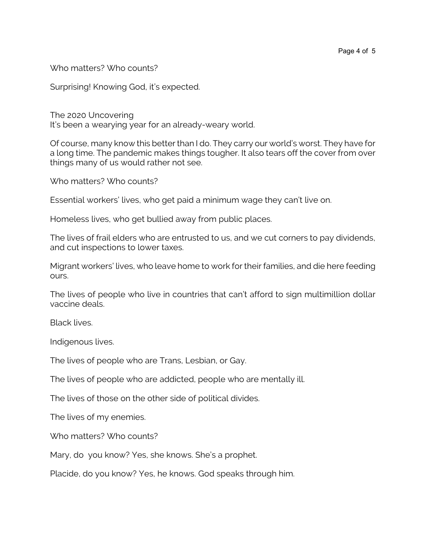Who matters? Who counts?

Surprising! Knowing God, it's expected.

The 2020 Uncovering It's been a wearying year for an already-weary world.

Of course, many know this better than I do. They carry our world's worst. They have for a long time. The pandemic makes things tougher. It also tears off the cover from over things many of us would rather not see.

Who matters? Who counts?

Essential workers' lives, who get paid a minimum wage they can't live on.

Homeless lives, who get bullied away from public places.

The lives of frail elders who are entrusted to us, and we cut corners to pay dividends, and cut inspections to lower taxes.

Migrant workers' lives, who leave home to work for their families, and die here feeding ours.

The lives of people who live in countries that can't afford to sign multimillion dollar vaccine deals.

Black lives.

Indigenous lives.

The lives of people who are Trans, Lesbian, or Gay.

The lives of people who are addicted, people who are mentally ill.

The lives of those on the other side of political divides.

The lives of my enemies.

Who matters? Who counts?

Mary, do you know? Yes, she knows. She's a prophet.

Placide, do you know? Yes, he knows. God speaks through him.